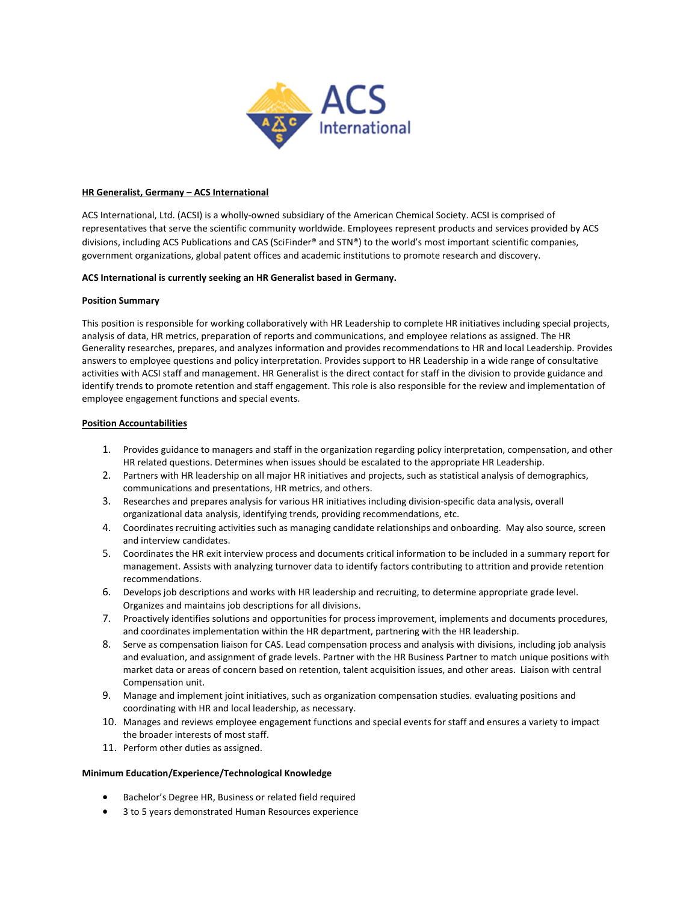

### HR Generalist, Germany – ACS International

ACS International, Ltd. (ACSI) is a wholly-owned subsidiary of the American Chemical Society. ACSI is comprised of representatives that serve the scientific community worldwide. Employees represent products and services provided by ACS divisions, including ACS Publications and CAS (SciFinder® and STN®) to the world's most important scientific companies, government organizations, global patent offices and academic institutions to promote research and discovery.

# ACS International is currently seeking an HR Generalist based in Germany.

# Position Summary

This position is responsible for working collaboratively with HR Leadership to complete HR initiatives including special projects, analysis of data, HR metrics, preparation of reports and communications, and employee relations as assigned. The HR Generality researches, prepares, and analyzes information and provides recommendations to HR and local Leadership. Provides answers to employee questions and policy interpretation. Provides support to HR Leadership in a wide range of consultative activities with ACSI staff and management. HR Generalist is the direct contact for staff in the division to provide guidance and identify trends to promote retention and staff engagement. This role is also responsible for the review and implementation of employee engagement functions and special events.

# Position Accountabilities

- 1. Provides guidance to managers and staff in the organization regarding policy interpretation, compensation, and other HR related questions. Determines when issues should be escalated to the appropriate HR Leadership.
- 2. Partners with HR leadership on all major HR initiatives and projects, such as statistical analysis of demographics, communications and presentations, HR metrics, and others.
- 3. Researches and prepares analysis for various HR initiatives including division-specific data analysis, overall organizational data analysis, identifying trends, providing recommendations, etc.
- 4. Coordinates recruiting activities such as managing candidate relationships and onboarding. May also source, screen and interview candidates.
- 5. Coordinates the HR exit interview process and documents critical information to be included in a summary report for management. Assists with analyzing turnover data to identify factors contributing to attrition and provide retention recommendations.
- 6. Develops job descriptions and works with HR leadership and recruiting, to determine appropriate grade level. Organizes and maintains job descriptions for all divisions.
- 7. Proactively identifies solutions and opportunities for process improvement, implements and documents procedures, and coordinates implementation within the HR department, partnering with the HR leadership.
- 8. Serve as compensation liaison for CAS. Lead compensation process and analysis with divisions, including job analysis and evaluation, and assignment of grade levels. Partner with the HR Business Partner to match unique positions with market data or areas of concern based on retention, talent acquisition issues, and other areas. Liaison with central Compensation unit.
- 9. Manage and implement joint initiatives, such as organization compensation studies. evaluating positions and coordinating with HR and local leadership, as necessary.
- 10. Manages and reviews employee engagement functions and special events for staff and ensures a variety to impact the broader interests of most staff.
- 11. Perform other duties as assigned.

### Minimum Education/Experience/Technological Knowledge

- Bachelor's Degree HR, Business or related field required
- 3 to 5 years demonstrated Human Resources experience